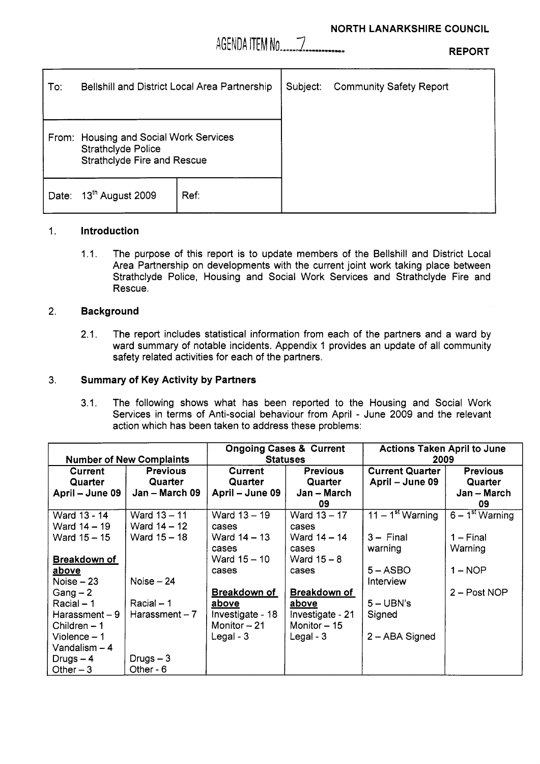

**REPORT** 

| To∶   | Bellshill and District Local Area Partnership                                                             |      | Subject: | <b>Community Safety Report</b> |
|-------|-----------------------------------------------------------------------------------------------------------|------|----------|--------------------------------|
|       |                                                                                                           |      |          |                                |
|       | From: Housing and Social Work Services<br><b>Strathclyde Police</b><br><b>Strathclyde Fire and Rescue</b> |      |          |                                |
| Date: | 13th August 2009                                                                                          | Ref: |          |                                |

### 1. **Introduction**

1.1. The purpose of this report is to update members of the Bellshill and District Local Area Partnership on developments with the current joint work taking place between Strathclyde Police, Housing and Social Work Services and Strathclyde Fire and Rescue.

## **2. Background**

2.1. The report includes statistical information from each of the partners and a ward by ward summary of notable incidents. Appendix 1 provides an update of all community safety related activities for each of the partners.

## 3. **Summary of Key Activity by Partners**

3.1. The following shows what has been reported to the Housing and Social Work Services in terms of Anti-social behaviour from April - June 2009 and the relevant action which has been taken to address these problems:

|                     |                                 | <b>Ongoing Cases &amp; Current</b> |                  | <b>Actions Taken April to June</b> |                   |
|---------------------|---------------------------------|------------------------------------|------------------|------------------------------------|-------------------|
|                     | <b>Number of New Complaints</b> | <b>Statuses</b>                    |                  | 2009                               |                   |
| Current             | <b>Previous</b>                 | Current                            | <b>Previous</b>  | <b>Current Quarter</b>             | <b>Previous</b>   |
| Quarter             | Quarter                         | Quarter                            | Quarter          | April – June 09                    | Quarter           |
| April – June 09     | Jan - March 09                  | April – June 09                    | Jan – March      |                                    | $Jan - March$     |
|                     |                                 |                                    | 09               |                                    | 09                |
| Ward 13 - 14        | Ward 13 - 11                    | Ward 13 - 19                       | Ward 13 - 17     | $11 - 1st$ Warning                 | $6 - 1st Warning$ |
| Ward 14 - 19        | Ward $14 - 12$                  | cases                              | cases            |                                    |                   |
| Ward 15 - 15        | Ward 15 - 18                    | Ward 14 - 13                       | Ward $14 - 14$   | $3 -$ Final                        | $1 -$ Final       |
|                     |                                 | cases                              | cases            | warning                            | Warning           |
| <u>Breakdown of</u> |                                 | Ward 15 - 10                       | Ward $15 - 8$    |                                    |                   |
| <u>above</u>        |                                 | cases                              | cases            | $5 -$ ASBO                         | $1 - \text{NOP}$  |
| Noise $-23$         | Noise $-24$                     |                                    |                  | Interview                          |                   |
| $Gang - 2$          |                                 | <b>Breakdown of</b>                | Breakdown of     |                                    | $2 - Post NOP$    |
| Racial – 1          | $Racial - 1$                    | <u>above</u>                       | above            | $5 - UBN's$                        |                   |
| Harassment-9        | Harassment $-7$                 | Investigate - 18                   | Investigate - 21 | Signed                             |                   |
| Children $-1$       |                                 | Monitor $-21$                      | Monitor $-15$    |                                    |                   |
| Violence $-1$       |                                 | Legal - 3                          | Legal - $3$      | 2 - ABA Signed                     |                   |
| Vandalism $-4$      |                                 |                                    |                  |                                    |                   |
| Drugs $-4$          | Drugs $-3$                      |                                    |                  |                                    |                   |
| Other $-3$          | Other - 6                       |                                    |                  |                                    |                   |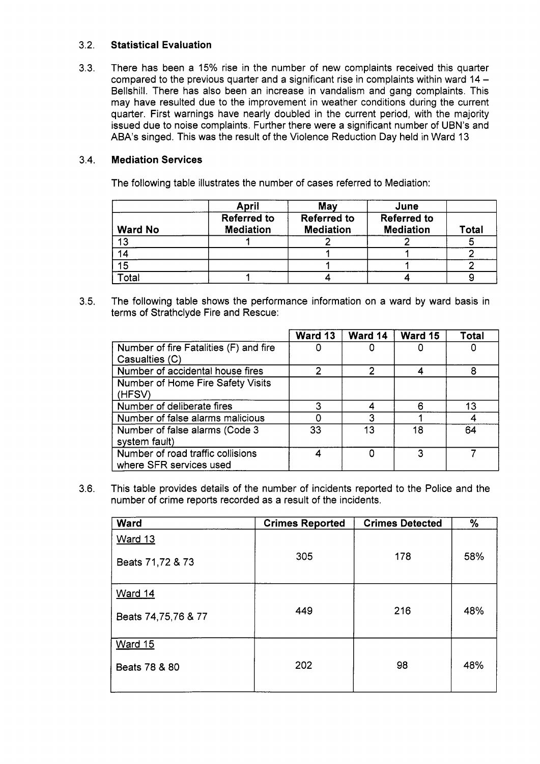#### 3.2. **Statistical Evaluation**

3.3. There has been a 15% rise in the number of new complaints received this quarter compared to the previous quarter and a significant rise in complaints within ward 14 -Bellshill. There has also been an increase in vandalism and gang complaints. This may have resulted due to the improvement in weather conditions during the current quarter. First warnings have nearly doubled in the current period, with the majority issued due to noise complaints. Further there were a significant number of UBN's and ABA's singed. This was the result of the Violence Reduction Day held in Ward 13

#### 3.4. **Mediation Services**

The following table illustrates the number of cases referred to Mediation:

|                | April                                  | May                                    | June                                   |       |
|----------------|----------------------------------------|----------------------------------------|----------------------------------------|-------|
| <b>Ward No</b> | <b>Referred to</b><br><b>Mediation</b> | <b>Referred to</b><br><b>Mediation</b> | <b>Referred to</b><br><b>Mediation</b> | Total |
| 13             |                                        |                                        |                                        |       |
| 14             |                                        |                                        |                                        |       |
| 15             |                                        |                                        |                                        |       |
| Гоtal          |                                        |                                        |                                        |       |

3.5. The following table shows the performance information on a ward by ward basis in terms of Strathclyde Fire and Rescue:

|                                        | Ward 13 | Ward 14 | Ward 15 | <b>Total</b> |
|----------------------------------------|---------|---------|---------|--------------|
| Number of fire Fatalities (F) and fire |         |         |         |              |
| Casualties (C)                         |         |         |         |              |
| Number of accidental house fires       |         |         |         |              |
| Number of Home Fire Safety Visits      |         |         |         |              |
| (HFSV)                                 |         |         |         |              |
| Number of deliberate fires             | ว       |         | R       | 13           |
| Number of false alarms malicious       |         |         |         |              |
| Number of false alarms (Code 3         | 33      | 13      | 18      | 64           |
| system fault)                          |         |         |         |              |
| Number of road traffic collisions      |         |         | 3       |              |
| where SFR services used                |         |         |         |              |

3.6. This table provides details of the number of incidents reported to the Police and the number of crime reports recorded as a result of the incidents.

| <b>Ward</b>         | <b>Crimes Reported</b> | <b>Crimes Detected</b> | %   |
|---------------------|------------------------|------------------------|-----|
| <b>Ward 13</b>      |                        |                        |     |
| Beats 71,72 & 73    | 305                    | 178                    | 58% |
| Ward 14             |                        |                        |     |
| Beats 74,75,76 & 77 | 449                    | 216                    | 48% |
| <b>Ward 15</b>      |                        |                        |     |
| Beats 78 & 80       | 202                    | 98                     | 48% |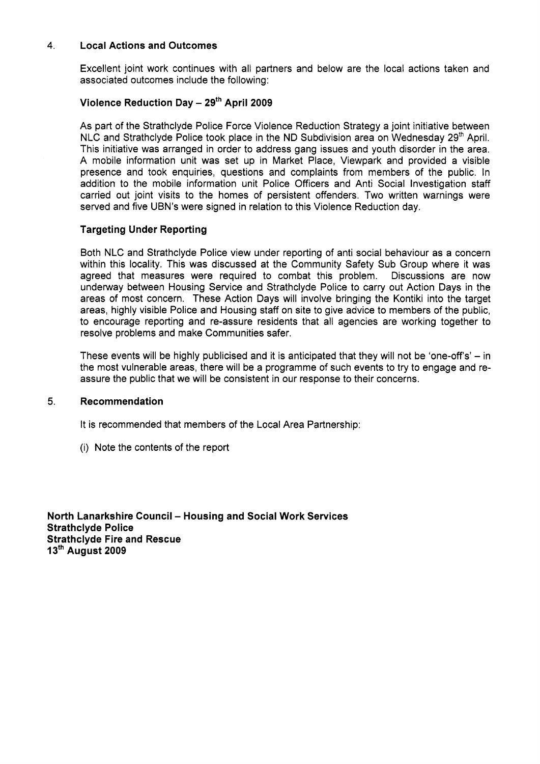## **4. Local Actions and Outcomes**

Excellent joint work continues with all partners and below are the local actions taken and associated outcomes include the following:

# **Violence Reduction Day** - **2gth April 2009**

As part of the Strathclyde Police Force Violence Reduction Strategy a joint initiative between NLC and Strathclyde Police took place in the ND Subdivision area on Wednesday  $29<sup>th</sup>$  April. This initiative was arranged in order to address gang issues and youth disorder in the area. A mobile information unit was set up in Market Place, Viewpark and provided a visible presence and took enquiries, questions and complaints from members of the public. In addition to the mobile information unit Police Officers and Anti Social Investigation staff carried out joint visits to the homes of persistent offenders. Two written warnings were served and five UBN's were signed in relation to this Violence Reduction day.

## **Targeting Under Reporting**

Both NLC and Strathclyde Police view under reporting of anti social behaviour as a concern within this locality. This was discussed at the Community Safety Sub Group where it was agreed that measures were required to combat this problem. Discussions are now underway between Housing Service and Strathclyde Police to carry out Action Days in the areas of most concern. These Action Days will involve bringing the Kontiki into the target areas, highly visible Police and Housing staff on site to give advice to members of the public, to encourage reporting and re-assure residents that all agencies are working together to resolve problems and make Communities safer.

These events will be highly publicised and it is anticipated that they will not be 'one-off's'  $-$  in the most vulnerable areas, there will be a programme of such events to try to engage and reassure the public that we will be consistent in our response to their concerns.

#### **5. Recommendation**

It is recommended that members of the Local Area Partnership:

(i) Note the contents of the report

**North Lanarkshire Council – Housing and Social Work Services Strathclyde Police Strathclyde Fire and Rescue 1 3'h August 2009**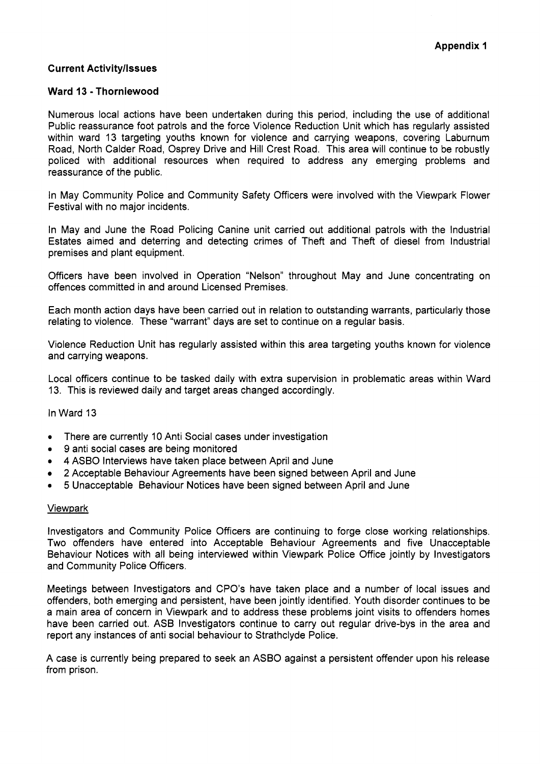## **Current Activity/Issues**

## **Ward 13** - **Thorniewood**

Numerous local actions have been undertaken during this period, including the use of additional Public reassurance foot patrols and the force Violence Reduction Unit which has regularly assisted within ward 13 targeting youths known for violence and carrying weapons, covering Laburnum Road, North Calder Road, Osprey Drive and Hill Crest Road. This area will continue to be robustly policed with additional resources when required to address any emerging problems and reassurance of the public.

In May Community Police and Community Safety Officers were involved with the Viewpark Flower Festival with no major incidents.

In May and June the Road Policing Canine unit carried out additional patrols with the Industrial Estates aimed and deterring and detecting crimes of Theft and Theft of diesel from Industrial premises and plant equipment.

Officers have been involved in Operation "Nelson" throughout May and June concentrating on offences committed in and around Licensed Premises.

Each month action days have been carried out in relation to outstanding warrants, particularly those relating to violence. These "warrant" days are set to continue on a regular basis.

Violence Reduction Unit has regularly assisted within this area targeting youths known for violence and carrying weapons.

Local officers continue to be tasked daily with extra supervision in problematic areas within Ward 13. This is reviewed daily and target areas changed accordingly.

### In Ward 13

- There are currently 10 Anti Social cases under investigation
- *<sup>0</sup>*9 anti social cases are being monitored
- *<sup>0</sup>***4** ASBO Interviews have taken place between April and June
- 2 Acceptable Behaviour Agreements have been signed between April and June
- *<sup>0</sup>*5 Unacceptable Behaviour Notices have been signed between April and June

#### Viewpark

Investigators and Community Police Officers are continuing to forge close working relationships. Two offenders have entered into Acceptable Behaviour Agreements and five Unacceptable Behaviour Notices with all being interviewed within Viewpark Police Office jointly by Investigators and Community Police Officers.

Meetings between Investigators and CPO's have taken place and a number of local issues and offenders, both emerging and persistent, have been jointly identified. Youth disorder continues to be a main area of concern in Viewpark and to address these problems joint visits to offenders homes have been carried out. ASB Investigators continue to carry out regular drive-bys in the area and report any instances of anti social behaviour to Strathclyde Police.

A case is currently being prepared to seek an ASBO against a persistent offender upon his release from prison.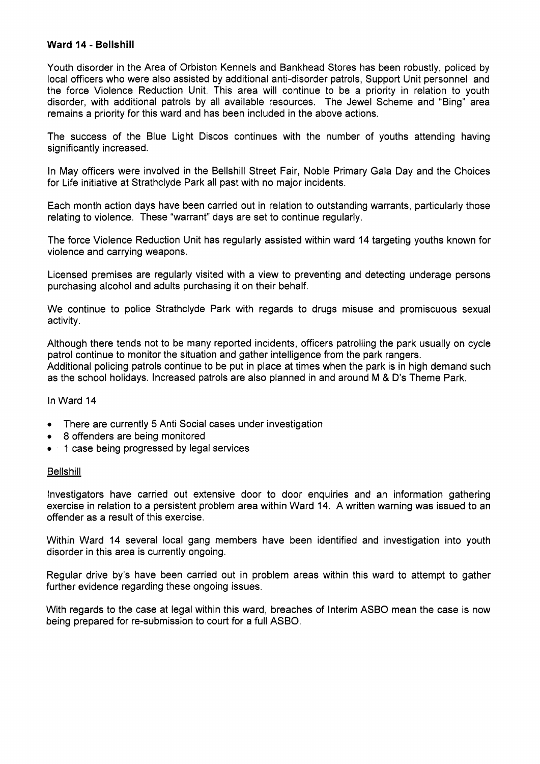## **Ward 14** - **Bellshill**

Youth disorder in the Area of Orbiston Kennels and Bankhead Stores has been robustly, policed by local officers who were also assisted by additional anti-disorder patrols, Support Unit personnel and the force Violence Reduction Unit. This area will continue to be a priority in relation to youth disorder, with additional patrols by all available resources. The Jewel Scheme and "Bing" area remains a priority for this ward and has been included in the above actions.

The success of the Blue Light Discos continues with the number of youths attending having significantly increased.

In May officers were involved in the Bellshill Street Fair, Noble Primary Gala Day and the Choices for Life initiative at Strathclyde Park all past with no major incidents.

Each month action days have been carried out in relation to outstanding warrants, particularly those relating to violence. These "warrant" days are set to continue regularly.

The force Violence Reduction Unit has regularly assisted within ward 14 targeting youths known for violence and carrying weapons.

Licensed premises are regularly visited with a view to preventing and detecting underage persons purchasing alcohol and adults purchasing it on their behalf.

We continue to police Strathclyde Park with regards to drugs misuse and promiscuous sexual activity.

Although there tends not to be many reported incidents, officers patrolling the park usually on cycle patrol continue to monitor the situation and gather intelligence from the park rangers. Additional policing patrols continue to be put in place at times when the park is in high demand such as the school holidays. Increased patrols are also planned in and around M & D's Theme Park.

In Ward 14

- *0*  There are currently *5* Anti Social cases under investigation
- *0 8* offenders are being monitored
- *0*  1 case being progressed by legal services

#### **Bellshill**

Investigators have carried out extensive door to door enquiries and an information gathering exercise in relation to a persistent problem area within Ward 14. A written warning was issued to an offender as a result of this exercise.

Within Ward 14 several local gang members have been identified and investigation into youth disorder in this area is currently ongoing.

Regular drive by's have been carried out in problem areas within this ward to attempt to gather further evidence regarding these ongoing issues.

With regards to the case at legal within this ward, breaches of Interim ASBO mean the case is now being prepared for re-submission to court for a full ASBO.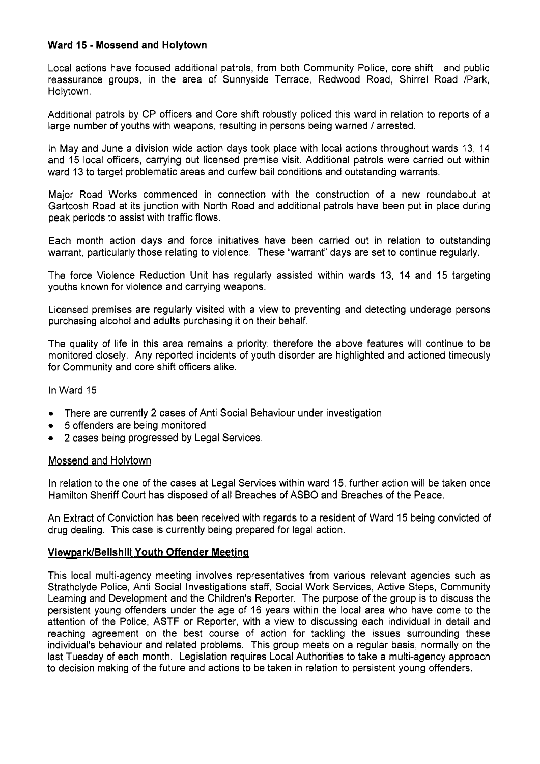## **Ward 15** - **Mossend and Holytown**

Local actions have focused additional patrols, from both Community Police, core shift and public reassurance groups, in the area of Sunnyside Terrace, Redwood Road, Shirrel Road /Park, Holytown.

Additional patrols by CP officers and Core shift robustly policed this ward in relation to reports of a large number of youths with weapons, resulting in persons being warned / arrested.

In May and June a division wide action days took place with local actions throughout wards 13, 14 and 15 local officers, carrying out licensed premise visit. Additional patrols were carried out within ward 13 to target problematic areas and curfew bail conditions and outstanding warrants.

Major Road Works commenced in connection with the construction of a new roundabout at Gartcosh Road at its junction with North Road and additional patrols have been put in place during peak periods to assist with traffic flows.

Each month action days and force initiatives have been carried out in relation to outstanding warrant, particularly those relating to violence. These "warrant" days are set to continue regularly.

The force Violence Reduction Unit has regularly assisted within wards 13, 14 and 15 targeting youths known for violence and carrying weapons.

Licensed premises are regularly visited with a view to preventing and detecting underage persons purchasing alcohol and adults purchasing it on their behalf.

The quality of life in this area remains a priority; therefore the above features will continue to be monitored closely. Any reported incidents of youth disorder are highlighted and actioned timeously for Community and core shift officers alike.

In Ward 15

- *0*  There are currently 2 cases of Anti Social Behaviour under investigation
- *0 5* offenders are being monitored
- *0*  2 cases being progressed by Legal Services.

#### Mossend and Holytown

In relation to the one of the cases at Legal Services within ward 15, further action will be taken once Hamilton Sheriff Court has disposed of all Breaches of ASBO and Breaches of the Peace.

An Extract of Conviction has been received with regards to a resident of Ward 15 being convicted of drug dealing. This case is currently being prepared for legal action.

## **ViewparWBellshill Youth Offender Meeting**

This local multi-agency meeting involves representatives from various relevant agencies such as Strathclyde Police, Anti Social Investigations staff, Social Work Services, Active Steps, Community Learning and Development and the Children's Reporter. The purpose of the group is to discuss the persistent young offenders under the age of 16 years within the local area who have come to the attention of the Police, ASTF or Reporter, with a view to discussing each individual in detail and reaching agreement on the best course of action for tackling the issues surrounding these individual's behaviour and related problems. This group meets on a regular basis, normally on the last Tuesday of each month. Legislation requires Local Authorities to take a multi-agency approach to decision making of the future and actions to be taken in relation to persistent young offenders.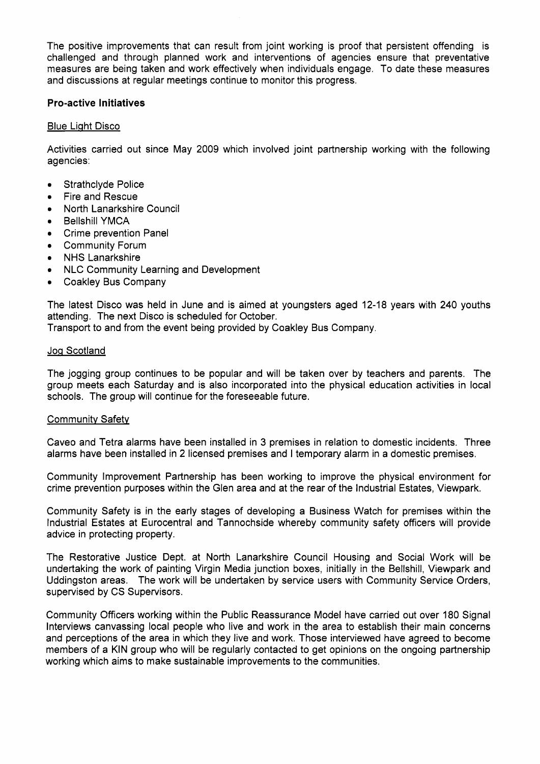The positive improvements that can result from joint working is proof that persistent offending is challenged and through planned work and interventions of agencies ensure that preventative measures are being taken and work effectively when individuals engage. To date these measures and discussions at regular meetings continue to monitor this progress.

## **Pro-active Initiatives**

#### Blue Light Disco

Activities carried out since May 2009 which involved joint partnership working with the following agencies:

- Strathclyde Police
- Fire and Rescue
- North Lanarkshire Council
- Bellshill YMCA
- Crime prevention Panel  $\bullet$
- Community Forum
- NHS Lanarkshire
- NLC Community Learning and Development
- Coakley Bus Company

The latest Disco was held in June and is aimed at youngsters aged 12-18 years with 240 youths attending. The next Disco is scheduled for October.

Transport to and from the event being provided by Coakley Bus Company.

#### Jog Scotland

The jogging group continues to be popular and will be taken over by teachers and parents. The group meets each Saturday and is also incorporated into the physical education activities in local schools. The group will continue for the foreseeable future.

#### Communitv Safetv

Caveo and Tetra alarms have been installed in 3 premises in relation to domestic incidents. Three alarms have been installed in 2 licensed premises and **I** temporary alarm in a domestic premises.

Community Improvement Partnership has been working to improve the physical environment for crime prevention purposes within the Glen area and at the rear of the Industrial Estates, Viewpark.

Community Safety is in the early stages of developing a Business Watch for premises within the Industrial Estates at Eurocentral and Tannochside whereby community safety officers will provide advice in protecting property.

The Restorative Justice Dept. at North Lanarkshire Council Housing and Social Work will be undertaking the work of painting Virgin Media junction boxes, initially in the Bellshill, Viewpark and Uddingston areas. The work will be undertaken by service users with Community Service Orders, supervised by CS Supervisors.

Community Officers working within the Public Reassurance Model have carried out over 180 Signal Interviews canvassing local people who live and work in the area to establish their main concerns and perceptions of the area in which they live and work. Those interviewed have agreed to become members of a KIN group who will be regularly contacted to get opinions on the ongoing partnership working which aims to make sustainable improvements to the communities.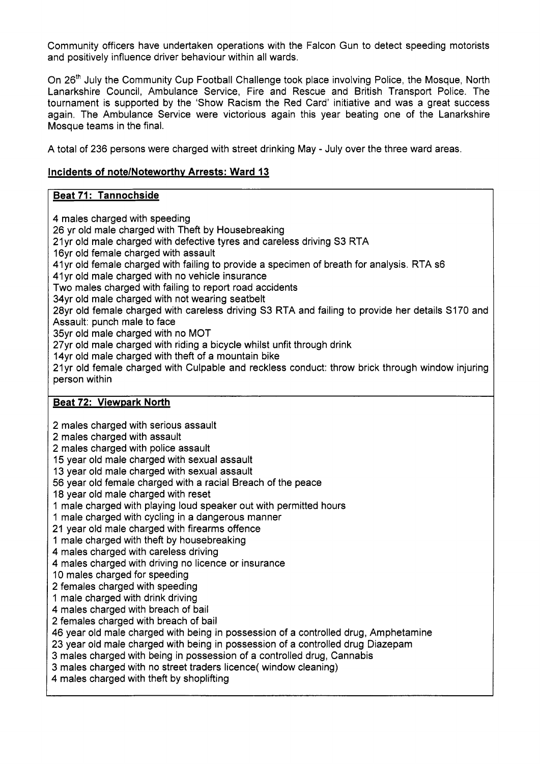Community officers have undertaken operations with the Falcon Gun to detect speeding motorists and positively influence driver behaviour within all wards.

On 26<sup>th</sup> July the Community Cup Football Challenge took place involving Police, the Mosque, North Lanarkshire Council, Ambulance Service, Fire and Rescue and British Transport Police. The tournament is supported by the 'Show Racism the Red Card' initiative and was a great success again. The Ambulance Service were victorious again this year beating one of the Lanarkshire Mosque teams in the final.

**A** total of 236 persons were charged with street drinking May - July over the three ward areas.

# **Incidents of note/Noteworthy Arrests: Ward 13**

# **Beat 71** : **Tannochside**

4 males charged with speeding 26 yr old male charged with Theft by Housebreaking 21yr old male charged with defective tyres and careless driving S3 RTA 16yr old female charged with assault 41yr old female charged with failing to provide a specimen of breath for analysis. RTA s6 41yr old male charged with no vehicle insurance Two males charged with failing to report road accidents 34yr old male charged with not wearing seatbelt 28yr old female charged with careless driving S3 RTA and failing to provide her details SI70 and Assault: punch male to face 35yr old male charged with no MOT 27yr old male charged with riding a bicycle whilst unfit through drink 14yr old male charged with theft of a mountain bike 21yr old female charged with Culpable and reckless conduct: throw brick through window injuring person within

# **Beat 72: Viewpark North**

2 males charged with serious assault

- 2 males charged with assault
- 2 males charged with police assault
- 15 year old male charged with sexual assault
- 13 year old male charged with sexual assault
- 56 year old female charged with a racial Breach of the peace
- **18** year old male charged with reset
- 1 male charged with playing loud speaker out with permitted hours
- 1 male charged with cycling in a dangerous manner
- 21 year old male charged with firearms offence
- 1 male charged with theft by housebreaking
- 4 males charged with careless driving
- 4 males charged with driving no licence or insurance
- 10 males charged for speeding
- 2 females charged with speeding
- 1 male charged with drink driving
- **4** males charged with breach of bail
- 2 females charged with breach of bail
- 46 year old male charged with being in possession of a controlled drug, Amphetamine
- 23 year old male charged with being in possession of a controlled drug Diazepam
- 3 males charged with being in possession of a controlled drug, Cannabis
- 3 males charged with no street traders licence( window cleaning)
- **4** males charged with theft by shoplifting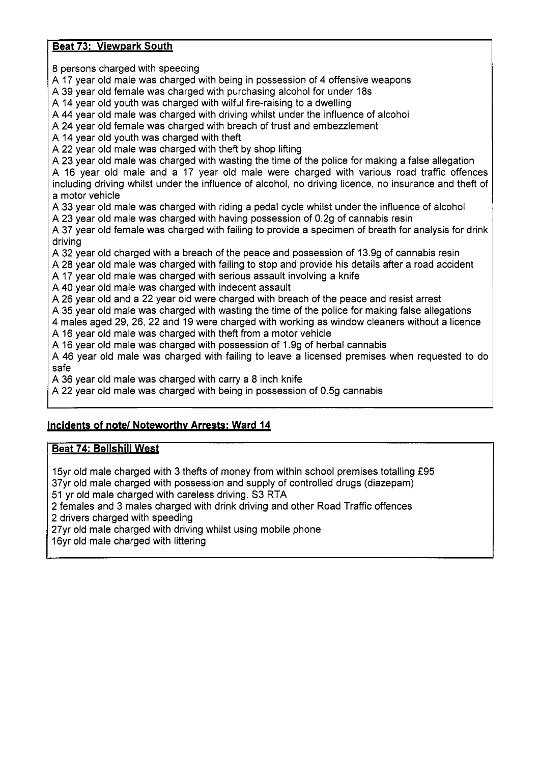# **Beat 73: Viewpark South**

8 persons charged with speeding

A 17 year old male was charged with being in possession of 4 offensive weapons

A 39 year old female was charged with purchasing alcohol for under 18s

A 14 year old youth was charged with wilful fire-raising to a dwelling

A 44 year old male was charged with driving whilst under the influence of alcohol

A 24 year old female was charged with breach of trust and embezzlement

A 14 year old youth was charged with theft

A 22 year old male was charged with theft by shop lifting

A 23 year old male was charged with wasting the time of the police for making a false allegation

A 16 year old male and a 17 year old male were charged with various road traffic offences including driving whilst under the influence of alcohol, no driving licence, no insurance and theft of a motor vehicle

A 33 year old male was charged with riding a pedal cycle whilst under the influence of alcohol

A 23 year old male was charged with having possession of 0.29 of cannabis resin

A 37 year old female was charged with failing to provide a specimen of breath for analysis for drink driving

A 32 year old charged with a breach of the peace and possession of 13.99 of cannabis resin

A 28 year old male was charged with failing to stop and provide his details after a road accident

A 17 year old male was charged with serious assault involving a knife

A 40 year old male was charged with indecent assault

A 26 year old and a 22 year old were charged with breach of the peace and resist arrest

A 35 year old male was charged with wasting the time of the police for making false allegations

4 males aged 29, 26, 22 and 19 were charged with working as window cleaners without a licence A 16 year old male was charged with theft from a motor vehicle

A 16 year old male was charged with possession of 1.9g of herbal cannabis

A 46 year old male was charged with failing to leave a licensed premises when requested to do safe

A 36 year old male was charged with carry a 8 inch knife

A 22 year old male was charged with being in possession of 0.5g cannabis

# **Incidents of note/ Noteworthy Arrests: Ward 14**

# **Beat 74: Bellshill West**

15yr old male charged with 3 thefts of money from within school premises totalling f95 37yr old male charged with possession and supply of controlled drugs (diazepam) 51 yr old male charged with careless driving. S3 RTA

2 females and 3 males charged with drink driving and other Road Traffic offences

2 drivers charged with speeding

27yr old male charged with driving whilst using mobile phone

16yr old male charged with littering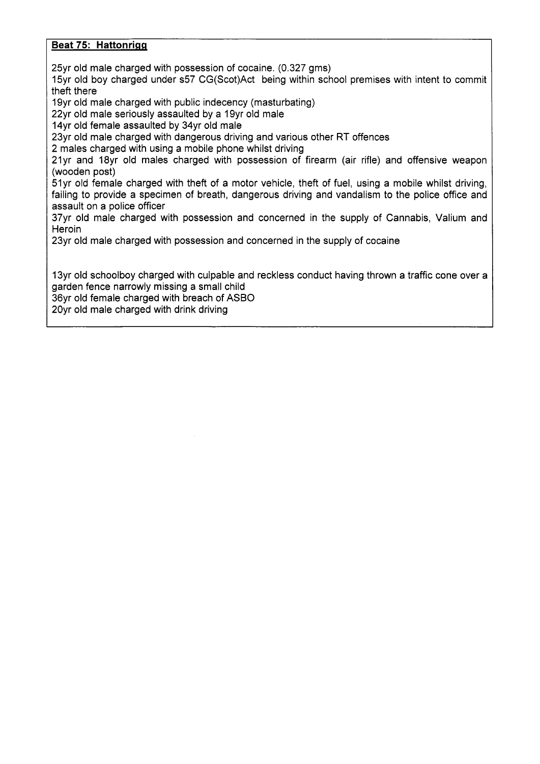## **Beat 75: Hattonrigg**

25yr old male charged with possession of cocaine. (0.327 gms)

15yr old boy charged under s57 CG(Scot)Act being within school premises with intent to commit theft there

19yr old male charged with public indecency (masturbating)

22yr old male seriously assaulted by a 19yr old male

14yr old female assaulted by 34yr old male

23yr old male charged with dangerous driving and various other RT offences

2 males charged with using a mobile phone whilst driving

21yr and 18yr old males charged with possession of firearm (air rifle) and offensive weapon (wooden post)

51yr old female charged with theft of a motor vehicle, theft of fuel, using a mobile whilst driving, failing to provide a specimen of breath, dangerous driving and vandalism to the police office and assault on a police officer

37yr old male charged with possession and concerned in the supply of Cannabis, Valium and **Heroin** 

23yr old male charged with possession and concerned in the supply of cocaine

13yr old schoolboy charged with culpable and reckless conduct having thrown a traffic cone over a garden fence narrowly missing a small child

36yr old female charged with breach of ASBO

20yr old male charged with drink driving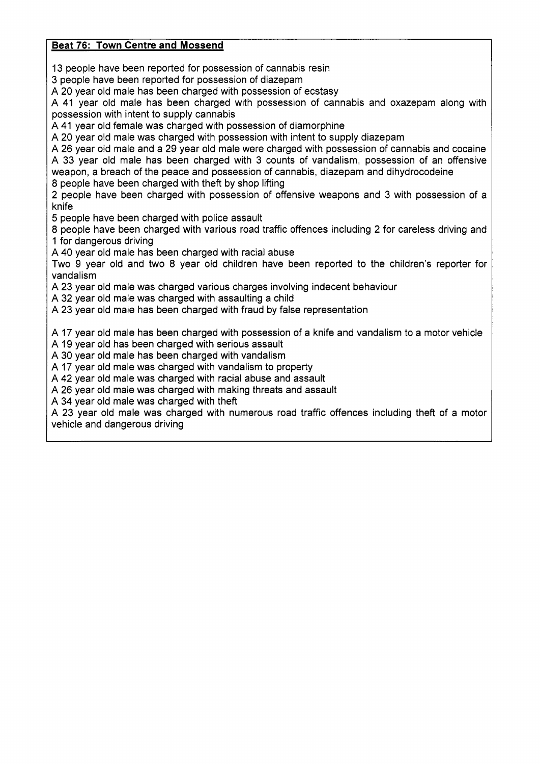# <span id="page-10-0"></span>**Beat 76: Town Centre and Mossend**

13 people have been reported for possession of cannabis resin

3 people have been reported for possession of diazepam

**A** 20 year old male has been charged with possession of ecstasy

**A** 41 year old male has been charged with possession of cannabis and oxazepam along with possession with intent to supply cannabis

**A** 41 year old female was charged with possession of diamorphine

**A** 20 year old male was charged with possession with intent to supply diazepam

**A** 26 year old male and a 29 year old male were charged with possession of cannabis and cocaine **A** 33 year old male has been charged with 3 counts of vandalism, possession of an offensive weapon, a breach of the peace and possession of cannabis, diazepam and dihydrocodeine 8 people have been charged with theft by shop lifting

2 people have been charged with possession of offensive weapons and 3 with possession of a knife

5 people have been charged with police assault

8 people have been charged with various road traffic offences including 2 for careless driving and 1 for dangerous driving

**A** 40 year old male has been charged with racial abuse

Two 9 year old and two 8 year old children have been reported to the children's reporter for vandalism

**A** 23 year old male was charged various charges involving indecent behaviour

**A** 32 year old male was charged with assaulting a child

**A** 23 year old male has been charged with fraud by false representation

**A** 17 year old male has been charged with possession of a knife and vandalism to a motor vehicle

**A** 19 year old has been charged with serious assault

**A** 30 year old male has been charged with vandalism

**A** 17 year old male was charged with vandalism to property

**A** 42 year old male was charged with racial abuse and assault

**A** 26 year old male was charged with making threats and assault

**A** 34 year old male was charged with theft

**A** 23 year old male was charged with numerous road traffic offences including theft of a motor vehicle and dangerous driving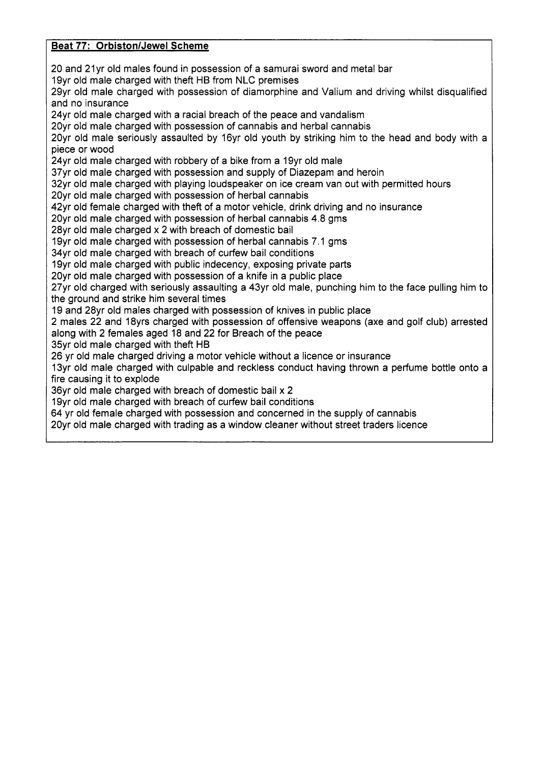# <span id="page-11-0"></span>**Beat 77: Orbiston/Jewel Scheme**

20 and 21yr old males found in possession of a samurai sword and metal bar 19yr old male charged with theft HB from NLC premises 29yr old male charged with possession of diamorphine and Valium and driving whilst disqualified and no insurance 24yr old male charged with a racial breach of the peace and vandalism 20yr old male charged with possession of cannabis and herbal cannabis 20yr old male seriously assaulted by 16yr old youth by striking him to the head and body with a piece or wood 24yr old male charged with robbery of a bike from a 19yr old male 37yr old male charged with possession and supply of Diazepam and heroin 32yr old male charged with playing loudspeaker on ice cream van out with permitted hours 20yr old male charged with possession of herbal cannabis 42yr old female charged with theft of a motor vehicle, drink driving and no insurance 20yr old male charged with possession of herbal cannabis 4.8 gms 28yr old male charged x 2 with breach of domestic bail 19yr old male charged with possession of herbal cannabis 7.1 gms 34yr old male charged with breach of curfew bail conditions 19yr old male charged with public indecency, exposing private parts 20yr old male charged with possession of a knife in a public place 27yr old charged with seriously assaulting a 43yr old male, punching him to the face pulling him to the ground and strike him several times 19 and 28yr old males charged with possession of knives in public place 2 males 22 and 18yrs charged with possession of offensive weapons (axe and golf club) arrested along with 2 females aged 18 and 22 for Breach of the peace 35yr old male charged with theft HB 26 yr old male charged driving a motor vehicle without a licence or insurance 13yr old male charged with culpable and reckless conduct having thrown a perfume bottle onto a fire causing it to explode 36yr old male charged with breach of domestic bail  $\times$  2 19yr old male charged with breach of curfew bail conditions 64 yr old female charged with possession and concerned in the supply of cannabis 20yr old male charged with trading as a window cleaner without street traders licence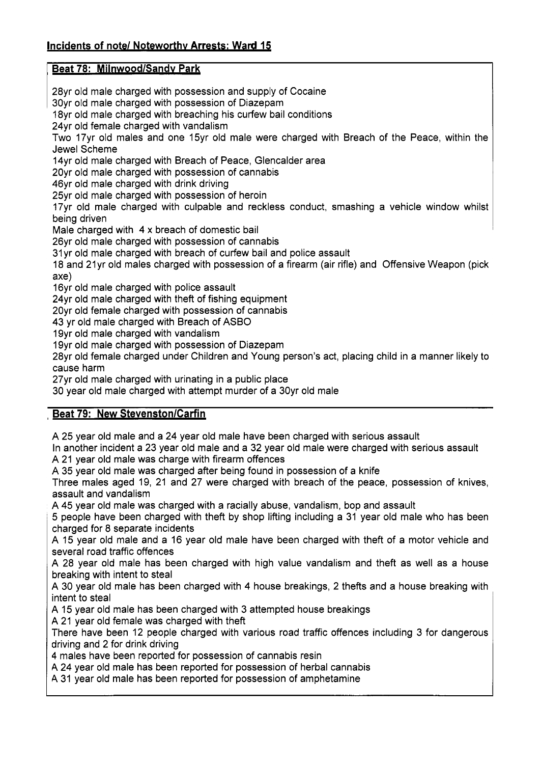# <span id="page-12-0"></span>**Beat 78: Milnwood/Sandy Park**

28yr old male charged with possession and supply of Cocaine 30yr old male charged with possession of Diazepam 18yr old male charged with breaching his curfew bail conditions 24yr old female charged with vandalism Two 17yr old males and one 15yr old male were charged with Breach of the Peace, within the Jewel Scheme 14yr old male charged with Breach of Peace, Glencalder area 20yr old male charged with possession of cannabis 46yr old male charged with drink driving 25yr old male charged with possession of heroin 17yr old male charged with culpable and reckless conduct, smashing a vehicle window whilst being driven Male charged with 4 x breach of domestic bail 26yr old male charged with possession of cannabis 31yr old male charged with breach of curfew bail and police assault 18 and 21yr old males charged with possession of a firearm (air rifle) and Offensive Weapon (pick axe) 16yr old male charged with police assault 24yr old male charged with theft of fishing equipment 20yr old female charged with possession of cannabis 43 yr old male charged with Breach of ASBO 19yr old male charged with vandalism 19yr old male charged with possession of Diazepam 28yr old female charged under Children and Young person's act, placing child in a manner likely to cause harm 27yr old male charged with urinating in a public place 30 year old male charged with attempt murder of a 30yr old male

# **Beat 79: New Stevenston/Carfin**

A 25 year old male and a 24 year old male have been charged with serious assault

In another incident a 23 year old male and a 32 year old male were charged with serious assault A 21 year old male was charge with firearm offences

A 35 year old male was charged after being found in possession of a knife

Three males aged 19, 21 and 27 were charged with breach of the peace, possession of knives, assault and vandalism

A 45 year old male was charged with a racially abuse, vandalism, bop and assault

*5* people have been charged with theft by shop lifting including a 31 year old male who has been charged for 8 separate incidents

A 15 year old male and a 16 year old male have been charged with theft of a motor vehicle and several road traffic offences

**A** 28 year old male has been charged with high value vandalism and theft as well as a house breaking with intent to steal

**A** 30 year old male has been charged with 4 house breakings, 2 thefts and a house breaking with intent to steal

**A** 15 year old male has been charged with 3 attempted house breakings

**A** 21 year old female was charged with theft

There have been 12 people charged with various road traffic offences including 3 for dangerous driving and 2 for drink driving

**4** males have been reported for possession of cannabis resin

**A** 24 year old male has been reported for possession of herbal cannabis

**A** 31 year old male has been reported for possession of amphetamine